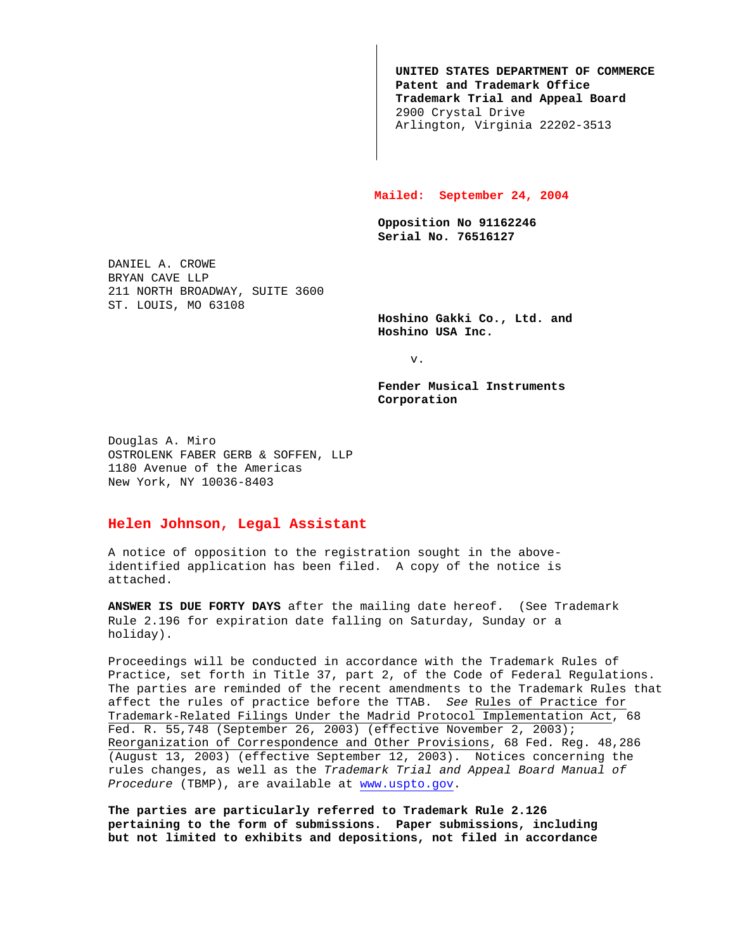**UNITED STATES DEPARTMENT OF COMMERCE Patent and Trademark Office Trademark Trial and Appeal Board** 2900 Crystal Drive Arlington, Virginia 22202-3513

## **Mailed: September 24, 2004**

**Opposition No 91162246 Serial No. 76516127**

DANIEL A. CROWE BRYAN CAVE LLP 211 NORTH BROADWAY, SUITE 3600 ST. LOUIS, MO 63108

> **Hoshino Gakki Co., Ltd. and Hoshino USA Inc.**

> > v.

**Fender Musical Instruments Corporation**

Douglas A. Miro OSTROLENK FABER GERB & SOFFEN, LLP 1180 Avenue of the Americas New York, NY 10036-8403

## **Helen Johnson, Legal Assistant**

A notice of opposition to the registration sought in the aboveidentified application has been filed. A copy of the notice is attached.

**ANSWER IS DUE FORTY DAYS** after the mailing date hereof. (See Trademark Rule 2.196 for expiration date falling on Saturday, Sunday or a holiday).

Proceedings will be conducted in accordance with the Trademark Rules of Practice, set forth in Title 37, part 2, of the Code of Federal Regulations. The parties are reminded of the recent amendments to the Trademark Rules that affect the rules of practice before the TTAB. See Rules of Practice for Trademark-Related Filings Under the Madrid Protocol Implementation Act, 68 Fed. R. 55,748 (September 26, 2003) (effective November 2, 2003); Reorganization of Correspondence and Other Provisions, 68 Fed. Reg. 48,286 (August 13, 2003) (effective September 12, 2003). Notices concerning the rules changes, as well as the Trademark Trial and Appeal Board Manual of Procedure (TBMP), are available at www.uspto.gov.

**The parties are particularly referred to Trademark Rule 2.126 pertaining to the form of submissions. Paper submissions, including but not limited to exhibits and depositions, not filed in accordance**